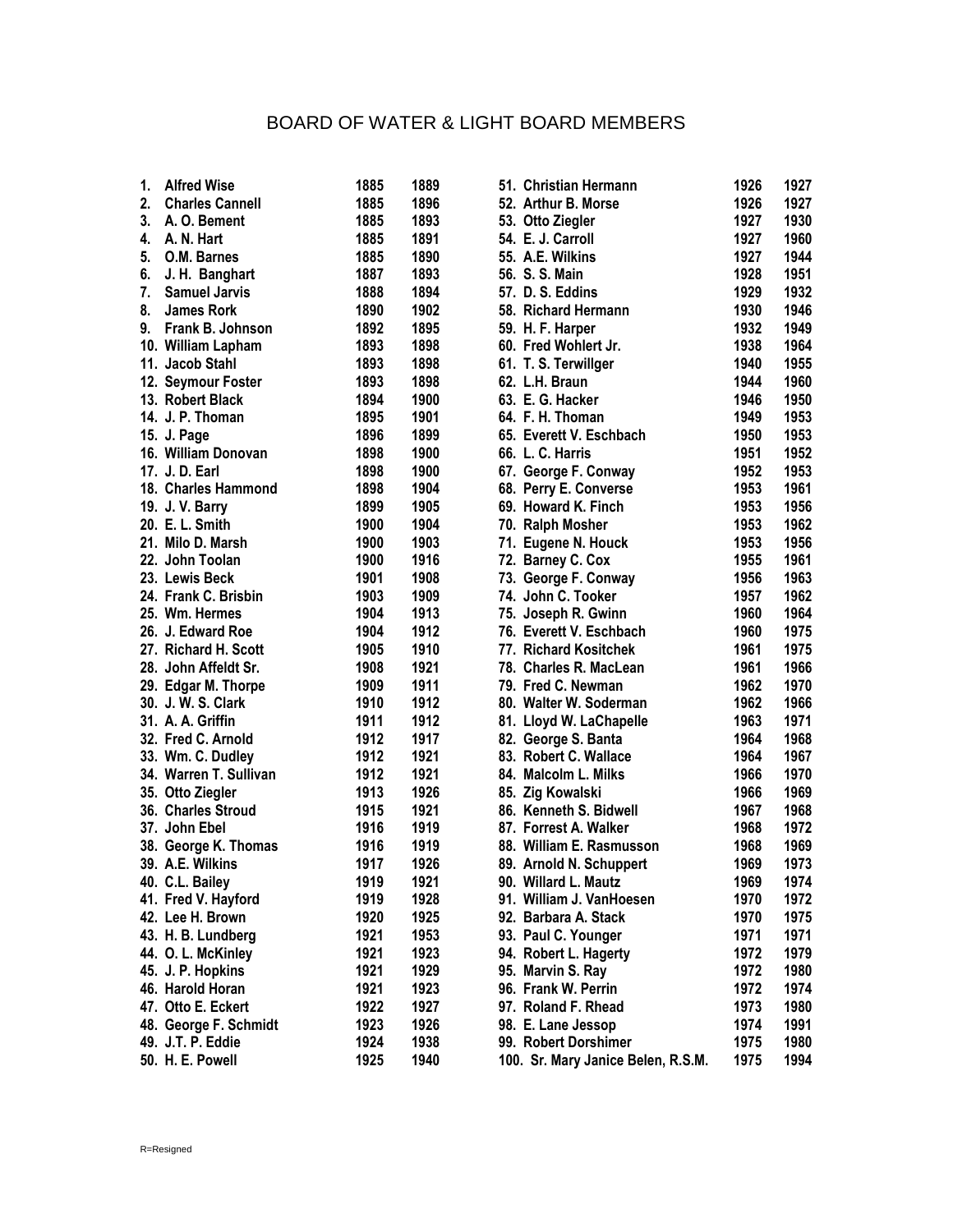## BOARD OF WATER & LIGHT BOARD MEMBERS

| $\mathbf{1}$ . | <b>Alfred Wise</b>     | 1885 | 1889 | 51. Christian Hermann              | 1926 | 1927 |
|----------------|------------------------|------|------|------------------------------------|------|------|
| 2.             | <b>Charles Cannell</b> | 1885 | 1896 | 52. Arthur B. Morse                | 1926 | 1927 |
|                | 3. A. O. Bement        | 1885 | 1893 | 53. Otto Ziegler                   | 1927 | 1930 |
|                | 4. A. N. Hart          | 1885 | 1891 | 54. E. J. Carroll                  | 1927 | 1960 |
| 5.             | O.M. Barnes            | 1885 | 1890 | 55. A.E. Wilkins                   | 1927 | 1944 |
| 6.             | J. H. Banghart         | 1887 | 1893 | 56. S. S. Main                     | 1928 | 1951 |
| 7.             | <b>Samuel Jarvis</b>   | 1888 | 1894 | 57. D. S. Eddins                   | 1929 | 1932 |
| 8.             | <b>James Rork</b>      | 1890 | 1902 | 58. Richard Hermann                | 1930 | 1946 |
|                | 9. Frank B. Johnson    | 1892 | 1895 | 59. H. F. Harper                   | 1932 | 1949 |
|                | 10. William Lapham     | 1893 | 1898 | 60. Fred Wohlert Jr.               | 1938 | 1964 |
|                | 11. Jacob Stahl        | 1893 | 1898 | 61. T. S. Terwillger               | 1940 | 1955 |
|                | 12. Seymour Foster     | 1893 | 1898 | 62. L.H. Braun                     | 1944 | 1960 |
|                | 13. Robert Black       | 1894 | 1900 | 63. E. G. Hacker                   | 1946 | 1950 |
|                | 14. J. P. Thoman       | 1895 | 1901 | 64. F. H. Thoman                   | 1949 | 1953 |
|                | 15. J. Page            | 1896 | 1899 | 65. Everett V. Eschbach            | 1950 | 1953 |
|                | 16. William Donovan    | 1898 | 1900 | 66. L. C. Harris                   | 1951 | 1952 |
|                | 17. J. D. Earl         | 1898 | 1900 | 67. George F. Conway               | 1952 | 1953 |
|                | 18. Charles Hammond    | 1898 | 1904 | 68. Perry E. Converse              | 1953 | 1961 |
|                | 19. J. V. Barry        | 1899 | 1905 | 69. Howard K. Finch                | 1953 | 1956 |
|                | 20. E. L. Smith        | 1900 | 1904 | 70. Ralph Mosher                   | 1953 | 1962 |
|                | 21. Milo D. Marsh      | 1900 | 1903 | 71. Eugene N. Houck                | 1953 | 1956 |
|                | 22. John Toolan        | 1900 | 1916 | 72. Barney C. Cox                  | 1955 | 1961 |
|                | 23. Lewis Beck         | 1901 | 1908 | 73. George F. Conway               | 1956 | 1963 |
|                | 24. Frank C. Brisbin   | 1903 | 1909 | 74. John C. Tooker                 | 1957 | 1962 |
|                | 25. Wm. Hermes         | 1904 | 1913 | 75. Joseph R. Gwinn                | 1960 | 1964 |
|                | 26. J. Edward Roe      | 1904 | 1912 | 76. Everett V. Eschbach            | 1960 | 1975 |
|                | 27. Richard H. Scott   | 1905 | 1910 | 77. Richard Kositchek              | 1961 | 1975 |
|                | 28. John Affeldt Sr.   | 1908 | 1921 | 78. Charles R. MacLean             | 1961 | 1966 |
|                | 29. Edgar M. Thorpe    | 1909 | 1911 | 79. Fred C. Newman                 | 1962 | 1970 |
|                | 30. J. W. S. Clark     | 1910 | 1912 | 80. Walter W. Soderman             | 1962 | 1966 |
|                | 31. A. A. Griffin      | 1911 | 1912 | 81. Lloyd W. LaChapelle            | 1963 | 1971 |
|                | 32. Fred C. Arnold     | 1912 | 1917 | 82. George S. Banta                | 1964 | 1968 |
|                | 33. Wm. C. Dudley      | 1912 | 1921 | 83. Robert C. Wallace              | 1964 | 1967 |
|                | 34. Warren T. Sullivan | 1912 | 1921 | 84. Malcolm L. Milks               | 1966 | 1970 |
|                | 35. Otto Ziegler       | 1913 | 1926 | 85. Zig Kowalski                   | 1966 | 1969 |
|                | 36. Charles Stroud     | 1915 | 1921 | 86. Kenneth S. Bidwell             | 1967 | 1968 |
|                | 37. John Ebel          | 1916 | 1919 | 87. Forrest A. Walker              | 1968 | 1972 |
|                | 38. George K. Thomas   | 1916 | 1919 | 88. William E. Rasmusson           | 1968 | 1969 |
|                | 39. A.E. Wilkins       | 1917 | 1926 | 89. Arnold N. Schuppert            | 1969 | 1973 |
|                | 40. C.L. Bailey        | 1919 | 1921 | 90. Willard L. Mautz               | 1969 | 1974 |
|                | 41. Fred V. Hayford    | 1919 | 1928 | 91. William J. VanHoesen           | 1970 | 1972 |
|                | 42. Lee H. Brown       | 1920 | 1925 | 92. Barbara A. Stack               | 1970 | 1975 |
|                | 43. H. B. Lundberg     | 1921 | 1953 | 93. Paul C. Younger                | 1971 | 1971 |
|                | 44. O. L. McKinley     | 1921 | 1923 | 94. Robert L. Hagerty              | 1972 | 1979 |
|                | 45. J. P. Hopkins      | 1921 | 1929 | 95. Marvin S. Ray                  | 1972 | 1980 |
|                | 46. Harold Horan       | 1921 | 1923 | 96. Frank W. Perrin                | 1972 | 1974 |
|                | 47. Otto E. Eckert     | 1922 | 1927 | 97. Roland F. Rhead                | 1973 | 1980 |
|                | 48. George F. Schmidt  | 1923 | 1926 | 98. E. Lane Jessop                 | 1974 | 1991 |
|                | 49. J.T. P. Eddie      | 1924 | 1938 | 99. Robert Dorshimer               | 1975 | 1980 |
|                | 50. H. E. Powell       | 1925 | 1940 | 100. Sr. Mary Janice Belen, R.S.M. | 1975 | 1994 |
|                |                        |      |      |                                    |      |      |